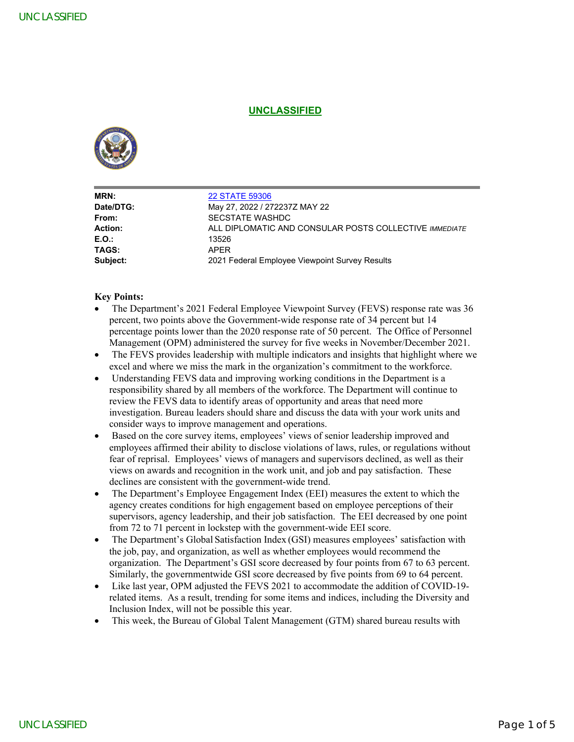# **UNCLASSIFIED**



|                                                               | <b>UNCLASSIFIED</b>                                                                                                                                                                                                                                                                                                                                                                                                                                                                                                                                                                                                                                                                                                                                                                                                                                                                                                                                                                                                                                                                                                                                                                                                                                                                                                                                                                                                                                                                                                                                                                                                                                                                                                                                                                                                                                                                                                                                                                                      |  |  |
|---------------------------------------------------------------|----------------------------------------------------------------------------------------------------------------------------------------------------------------------------------------------------------------------------------------------------------------------------------------------------------------------------------------------------------------------------------------------------------------------------------------------------------------------------------------------------------------------------------------------------------------------------------------------------------------------------------------------------------------------------------------------------------------------------------------------------------------------------------------------------------------------------------------------------------------------------------------------------------------------------------------------------------------------------------------------------------------------------------------------------------------------------------------------------------------------------------------------------------------------------------------------------------------------------------------------------------------------------------------------------------------------------------------------------------------------------------------------------------------------------------------------------------------------------------------------------------------------------------------------------------------------------------------------------------------------------------------------------------------------------------------------------------------------------------------------------------------------------------------------------------------------------------------------------------------------------------------------------------------------------------------------------------------------------------------------------------|--|--|
|                                                               |                                                                                                                                                                                                                                                                                                                                                                                                                                                                                                                                                                                                                                                                                                                                                                                                                                                                                                                                                                                                                                                                                                                                                                                                                                                                                                                                                                                                                                                                                                                                                                                                                                                                                                                                                                                                                                                                                                                                                                                                          |  |  |
| MRN:<br>Date/DTG:                                             | <b>22 STATE 59306</b><br>May 27, 2022 / 272237Z MAY 22                                                                                                                                                                                                                                                                                                                                                                                                                                                                                                                                                                                                                                                                                                                                                                                                                                                                                                                                                                                                                                                                                                                                                                                                                                                                                                                                                                                                                                                                                                                                                                                                                                                                                                                                                                                                                                                                                                                                                   |  |  |
| From:<br><b>Action:</b><br>E.O.:<br>TAGS:                     | SECSTATE WASHDC<br>ALL DIPLOMATIC AND CONSULAR POSTS COLLECTIVE IMMEDIATE<br>13526<br><b>APER</b>                                                                                                                                                                                                                                                                                                                                                                                                                                                                                                                                                                                                                                                                                                                                                                                                                                                                                                                                                                                                                                                                                                                                                                                                                                                                                                                                                                                                                                                                                                                                                                                                                                                                                                                                                                                                                                                                                                        |  |  |
| Subject:                                                      | 2021 Federal Employee Viewpoint Survey Results                                                                                                                                                                                                                                                                                                                                                                                                                                                                                                                                                                                                                                                                                                                                                                                                                                                                                                                                                                                                                                                                                                                                                                                                                                                                                                                                                                                                                                                                                                                                                                                                                                                                                                                                                                                                                                                                                                                                                           |  |  |
| $\bullet$<br>$\bullet$<br>$\bullet$<br>$\bullet$<br>$\bullet$ | excel and where we miss the mark in the organization's commitment to the workforce.<br>Understanding FEVS data and improving working conditions in the Department is a<br>responsibility shared by all members of the workforce. The Department will continue to<br>review the FEVS data to identify areas of opportunity and areas that need more<br>investigation. Bureau leaders should share and discuss the data with your work units and<br>consider ways to improve management and operations.<br>Based on the core survey items, employees' views of senior leadership improved and<br>employees affirmed their ability to disclose violations of laws, rules, or regulations without<br>fear of reprisal. Employees' views of managers and supervisors declined, as well as their<br>views on awards and recognition in the work unit, and job and pay satisfaction. These<br>declines are consistent with the government-wide trend.<br>The Department's Employee Engagement Index (EEI) measures the extent to which the<br>agency creates conditions for high engagement based on employee perceptions of their<br>supervisors, agency leadership, and their job satisfaction. The EEI decreased by one point<br>from 72 to 71 percent in lockstep with the government-wide EEI score.<br>The Department's Global Satisfaction Index (GSI) measures employees' satisfaction with<br>the job, pay, and organization, as well as whether employees would recommend the<br>organization. The Department's GSI score decreased by four points from 67 to 63 percent.<br>Similarly, the governmentwide GSI score decreased by five points from 69 to 64 percent.<br>Like last year, OPM adjusted the FEVS 2021 to accommodate the addition of COVID-19-<br>related items. As a result, trending for some items and indices, including the Diversity and<br>Inclusion Index, will not be possible this year.<br>This week, the Bureau of Global Talent Management (GTM) shared bureau results with |  |  |

### **Key Points:**

- The Department's 2021 Federal Employee Viewpoint Survey (FEVS) response rate was 36 percent, two points above the Government-wide response rate of 34 percent but 14 percentage points lower than the 2020 response rate of 50 percent. The Office of Personnel Management (OPM) administered the survey for five weeks in November/December 2021.
- The FEVS provides leadership with multiple indicators and insights that highlight where we excel and where we miss the mark in the organization's commitment to the workforce.
- Understanding FEVS data and improving working conditions in the Department is a responsibility shared by all members of the workforce. The Department will continue to review the FEVS data to identify areas of opportunity and areas that need more investigation. Bureau leaders should share and discuss the data with your work units and consider ways to improve management and operations.
- Based on the core survey items, employees' views of senior leadership improved and employees affirmed their ability to disclose violations of laws, rules, or regulations without fear of reprisal. Employees' views of managers and supervisors declined, as well as their views on awards and recognition in the work unit, and job and pay satisfaction. These declines are consistent with the government-wide trend.
- The Department's Employee Engagement Index (EEI) measures the extent to which the agency creates conditions for high engagement based on employee perceptions of their supervisors, agency leadership, and their job satisfaction. The EEI decreased by one point from 72 to 71 percent in lockstep with the government-wide EEI score.
- The Department's Global Satisfaction Index (GSI) measures employees' satisfaction with the job, pay, and organization, as well as whether employees would recommend the organization. The Department's GSI score decreased by four points from 67 to 63 percent. Similarly, the governmentwide GSI score decreased by five points from 69 to 64 percent.
- Like last year, OPM adjusted the FEVS 2021 to accommodate the addition of COVID-19 related items. As a result, trending for some items and indices, including the Diversity and Inclusion Index, will not be possible this year.
- This week, the Bureau of Global Talent Management (GTM) shared bureau results with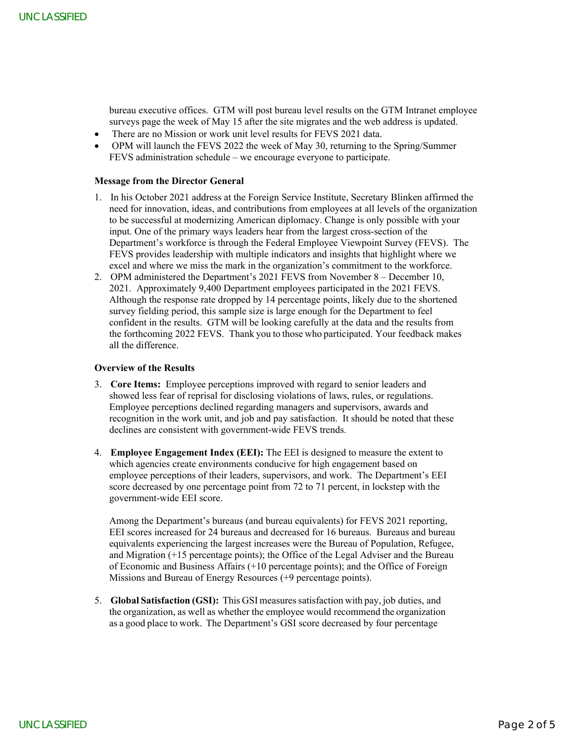bureau executive offices. GTM will post bureau level results on the GTM Intranet employee surveys page the week of May 15 after the site migrates and the web address is updated.

- There are no Mission or work unit level results for FEVS 2021 data.
- OPM will launch the FEVS 2022 the week of May 30, returning to the Spring/Summer FEVS administration schedule – we encourage everyone to participate.

### **Message from the Director General**

- 1. In his October 2021 address at the Foreign Service Institute, Secretary Blinken affirmed the need for innovation, ideas, and contributions from employees at all levels of the organization to be successful at modernizing American diplomacy. Change is only possible with your input. One of the primary ways leaders hear from the largest cross-section of the Department's workforce is through the Federal Employee Viewpoint Survey (FEVS). The FEVS provides leadership with multiple indicators and insights that highlight where we excel and where we miss the mark in the organization's commitment to the workforce. In The Constraints of the Constraint particular interaction with the theoretical particles in the Constraint of the Constraint of the Constraint of the Constraint of the Constraint of the Constraint of the Constraint of t
	- 2. OPM administered the Department's 2021 FEVS from November 8 December 10, 2021. Approximately 9,400 Department employees participated in the 2021 FEVS. Although the response rate dropped by 14 percentage points, likely due to the shortened survey fielding period, this sample size is large enough for the Department to feel confident in the results. GTM will be looking carefully at the data and the results from the forthcoming 2022 FEVS. Thank you to those who participated. Your feedback makes all the difference.

#### **Overview of the Results**

- 3. **Core Items:** Employee perceptions improved with regard to senior leaders and showed less fear of reprisal for disclosing violations of laws, rules, or regulations. Employee perceptions declined regarding managers and supervisors, awards and recognition in the work unit, and job and pay satisfaction. It should be noted that these declines are consistent with government-wide FEVS trends.
- 4. **Employee Engagement Index (EEI):** The EEI is designed to measure the extent to which agencies create environments conducive for high engagement based on employee perceptions of their leaders, supervisors, and work. The Department's EEI score decreased by one percentage point from 72 to 71 percent, in lockstep with the government-wide EEI score.

Among the Department's bureaus (and bureau equivalents) for FEVS 2021 reporting, EEI scores increased for 24 bureaus and decreased for 16 bureaus. Bureaus and bureau equivalents experiencing the largest increases were the Bureau of Population, Refugee, and Migration (+15 percentage points); the Office of the Legal Adviser and the Bureau of Economic and Business Affairs (+10 percentage points); and the Office of Foreign Missions and Bureau of Energy Resources (+9 percentage points).

5. **Global Satisfaction (GSI):** This GSI measures satisfaction with pay, job duties, and the organization, as well as whether the employee would recommend the organization as a good place to work. The Department's GSI score decreased by four percentage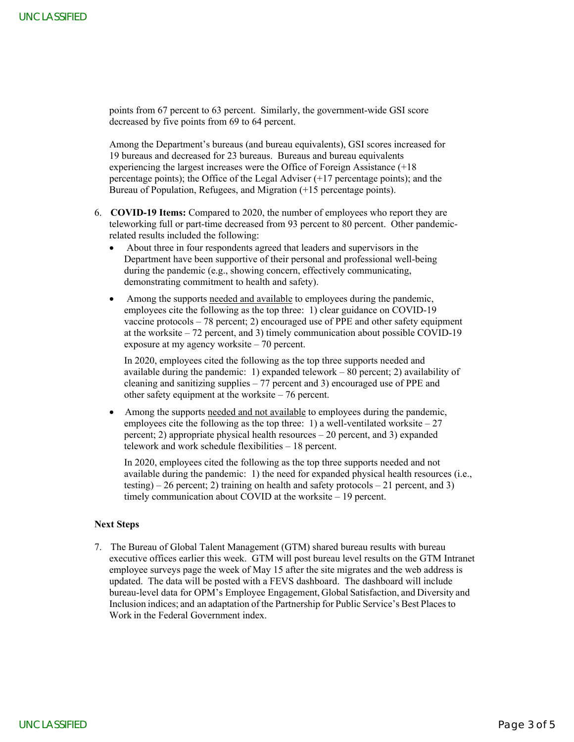points from 67 percent to 63 percent. Similarly, the government-wide GSI score decreased by five points from 69 to 64 percent.

Among the Department's bureaus (and bureau equivalents), GSI scores increased for 19 bureaus and decreased for 23 bureaus. Bureaus and bureau equivalents experiencing the largest increases were the Office of Foreign Assistance (+18 percentage points); the Office of the Legal Adviser (+17 percentage points); and the Bureau of Population, Refugees, and Migration (+15 percentage points).

- 6. **COVID-19 Items:** Compared to 2020, the number of employees who report they are teleworking full or part-time decreased from 93 percent to 80 percent. Other pandemicrelated results included the following:
	- About three in four respondents agreed that leaders and supervisors in the Department have been supportive of their personal and professional well-being during the pandemic (e.g., showing concern, effectively communicating, demonstrating commitment to health and safety).
	- Among the supports needed and available to employees during the pandemic, employees cite the following as the top three: 1) clear guidance on COVID-19 vaccine protocols – 78 percent; 2) encouraged use of PPE and other safety equipment at the worksite – 72 percent, and 3) timely communication about possible COVID-19 exposure at my agency worksite – 70 percent.

In 2020, employees cited the following as the top three supports needed and available during the pandemic: 1) expanded telework – 80 percent; 2) availability of cleaning and sanitizing supplies  $-77$  percent and 3) encouraged use of PPE and other safety equipment at the worksite – 76 percent.

• Among the supports needed and not available to employees during the pandemic, employees cite the following as the top three: 1) a well-ventilated worksite  $-27$ percent; 2) appropriate physical health resources – 20 percent, and 3) expanded telework and work schedule flexibilities – 18 percent.

In 2020, employees cited the following as the top three supports needed and not available during the pandemic: 1) the need for expanded physical health resources (i.e., testing) – 26 percent; 2) training on health and safety protocols – 21 percent, and 3) timely communication about COVID at the worksite – 19 percent.

## **Next Steps**

7. The Bureau of Global Talent Management (GTM) shared bureau results with bureau executive offices earlier this week. GTM will post bureau level results on the GTM Intranet employee surveys page the week of May 15 after the site migrates and the web address is updated. The data will be posted with a FEVS dashboard. The dashboard will include bureau-level data for OPM's Employee Engagement, Global Satisfaction, and Diversity and Inclusion indices; and an adaptation of the Partnership for Public Service's Best Places to Work in the Federal Government index. IF The Contemporary of the state of the state of the state of the state of the state of the state of the state of the state of the state of the state of the state of the state of the state of the state of the state of the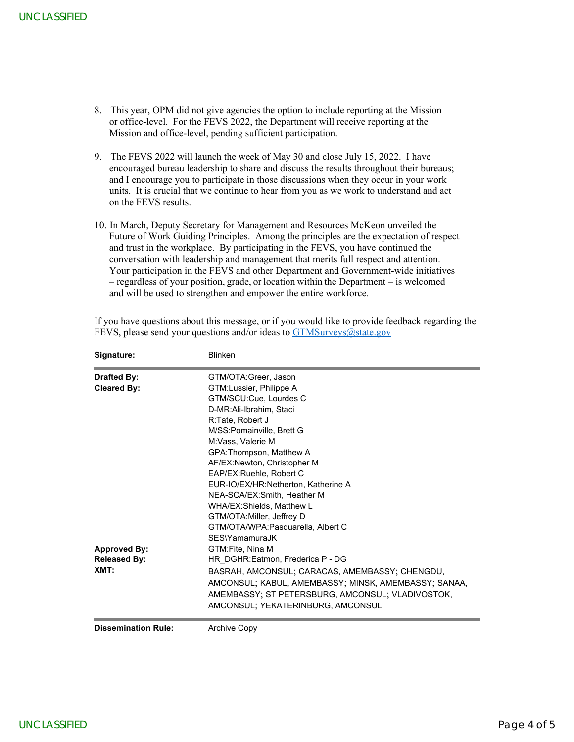- 8. This year, OPM did not give agencies the option to include reporting at the Mission or office-level. For the FEVS 2022, the Department will receive reporting at the Mission and office-level, pending sufficient participation.
- 9. The FEVS 2022 will launch the week of May 30 and close July 15, 2022. I have encouraged bureau leadership to share and discuss the results throughout their bureaus; and I encourage you to participate in those discussions when they occur in your work units. It is crucial that we continue to hear from you as we work to understand and act on the FEVS results.
- 10. In March, Deputy Secretary for Management and Resources McKeon unveiled the Future of Work Guiding Principles. Among the principles are the expectation of respect and trust in the workplace. By participating in the FEVS, you have continued the conversation with leadership and management that merits full respect and attention. Your participation in the FEVS and other Department and Government-wide initiatives – regardless of your position, grade, or location within the Department – is welcomed and will be used to strengthen and empower the entire workforce.

| <b>Approved By:</b>                      | WHA/EX:Shields, Matthew L<br>GTM/OTA: Miller, Jeffrey D<br>GTM/OTA/WPA:Pasquarella, Albert C<br>SES\YamamuraJK<br>GTM:Fite, Nina M                                                                                                                                                                                                                                                                                                                                                                                                                                                                                                                                                                                                                                                                                                                                                                                                                                                                                                                                                                                                                                                                                               |
|------------------------------------------|----------------------------------------------------------------------------------------------------------------------------------------------------------------------------------------------------------------------------------------------------------------------------------------------------------------------------------------------------------------------------------------------------------------------------------------------------------------------------------------------------------------------------------------------------------------------------------------------------------------------------------------------------------------------------------------------------------------------------------------------------------------------------------------------------------------------------------------------------------------------------------------------------------------------------------------------------------------------------------------------------------------------------------------------------------------------------------------------------------------------------------------------------------------------------------------------------------------------------------|
|                                          | M:Vass, Valerie M<br>GPA: Thompson, Matthew A<br>AF/EX:Newton, Christopher M<br>EAP/EX:Ruehle, Robert C<br>EUR-IO/EX/HR:Netherton, Katherine A<br>NEA-SCA/EX:Smith, Heather M                                                                                                                                                                                                                                                                                                                                                                                                                                                                                                                                                                                                                                                                                                                                                                                                                                                                                                                                                                                                                                                    |
| <b>Drafted By:</b><br><b>Cleared By:</b> | GTM/OTA:Greer, Jason<br>GTM:Lussier, Philippe A<br>GTM/SCU:Cue, Lourdes C<br>D-MR:Ali-Ibrahim, Staci<br>R:Tate, Robert J<br>M/SS:Pomainville, Brett G                                                                                                                                                                                                                                                                                                                                                                                                                                                                                                                                                                                                                                                                                                                                                                                                                                                                                                                                                                                                                                                                            |
| Signature:                               | FEVS, please send your questions and/or ideas to GTMSurveys@state.gov<br><b>Blinken</b>                                                                                                                                                                                                                                                                                                                                                                                                                                                                                                                                                                                                                                                                                                                                                                                                                                                                                                                                                                                                                                                                                                                                          |
| on the FEVS results.                     | or office-level. For the FEVS 2022, the Department will receive reporting at the<br>Mission and office-level, pending sufficient participation.<br>9. The FEVS 2022 will launch the week of May 30 and close July 15, 2022. I have<br>encouraged bureau leadership to share and discuss the results throughout their bureaus;<br>and I encourage you to participate in those discussions when they occur in your work<br>units. It is crucial that we continue to hear from you as we work to understand and act<br>10. In March, Deputy Secretary for Management and Resources McKeon unveiled the<br>Future of Work Guiding Principles. Among the principles are the expectation of respect<br>and trust in the workplace. By participating in the FEVS, you have continued the<br>conversation with leadership and management that merits full respect and attention.<br>Your participation in the FEVS and other Department and Government-wide initiatives<br>- regardless of your position, grade, or location within the Department - is welcomed<br>and will be used to strengthen and empower the entire workforce.<br>If you have questions about this message, or if you would like to provide feedback regarding the |